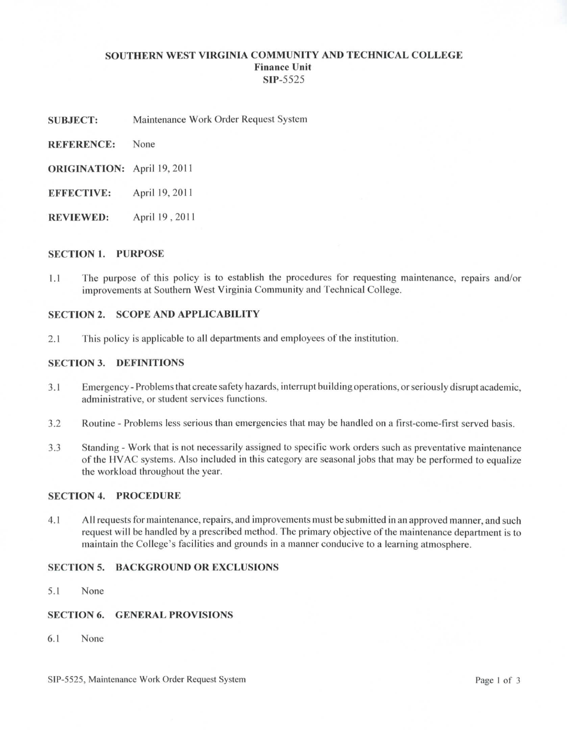### **SOUTHERN WEST VIRGINIA COMMUNITY AND TECHNICAL COLLEGE Finance Unit SIP-5525**

- **SUBJECT:** Maintenance Work Order Request System
- **REFERENCE:** None
- **ORIGINATION:** April 19, 2011
- **EFFECTIVE:** April 19, 2011
- **REVIEWED:** April 19 , 2011

# **SECTION 1. PURPOSE**

1.1 The purpose of this policy is to establish the procedures for requesting maintenance, repairs and/or improvements at Southern West Virginia Community and Technical College.

# **SECTION 2. SCOPE AND APPLICABILITY**

2.1 This policy is applicable to all departments and employees of the institution.

### **SECTION 3. DEFINITIONS**

- 3.1 Emergency Problems that create safety hazards, interrupt building operations, or seriously disrupt academic, administrative, or student services functions.
- 3.2 Routine Problems less serious than emergencies that may be handled on a flrst-come-first served basis.
- 3.3 Standing Work that is not necessarily assigned to specific work orders such as preventative maintenance of the HVAC systems. Also included in this category are seasonal jobs that may be performed to equalize the workload throughout the year.

### **SECTION 4. PROCEDURE**

4.1 All requests for maintenance, repairs, and improvements must be submitted in an approved manner, and such request will be handled by a prescribed method. The primary objective of the maintenance department is to maintain the College's facilities and grounds in a manner conducive to a learning atmosphere.

#### **SECTION 5. BACKGROUND OR EXCLUSIONS**

5.1 None

### **SECTION 6. GENERAL PROVISIONS**

6.1 None